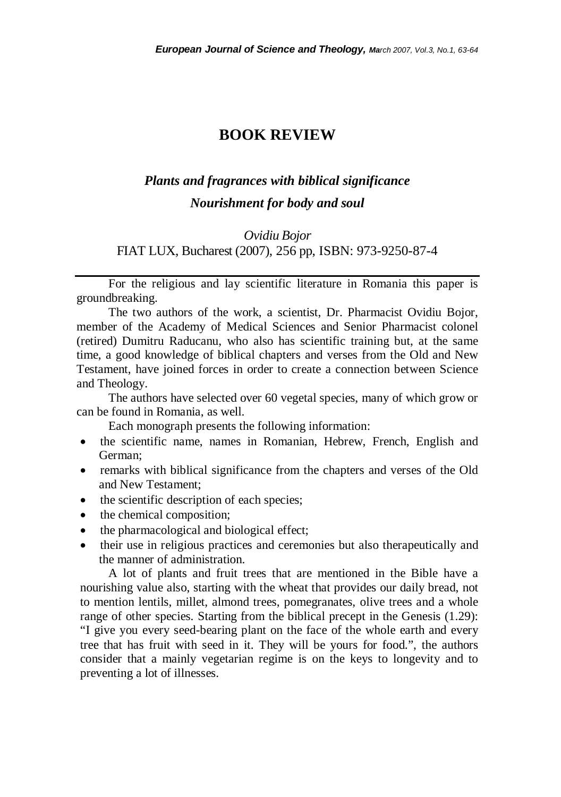## **BOOK REVIEW**

## *Plants and fragrances with biblical significance Nourishment for body and soul*

## *Ovidiu Bojor*  FIAT LUX, Bucharest (2007), 256 pp, ISBN: 973-9250-87-4

For the religious and lay scientific literature in Romania this paper is groundbreaking.

The two authors of the work, a scientist, Dr. Pharmacist Ovidiu Bojor, member of the Academy of Medical Sciences and Senior Pharmacist colonel (retired) Dumitru Raducanu, who also has scientific training but, at the same time, a good knowledge of biblical chapters and verses from the Old and New Testament, have joined forces in order to create a connection between Science and Theology.

 The authors have selected over 60 vegetal species, many of which grow or can be found in Romania, as well.

Each monograph presents the following information:

- the scientific name, names in Romanian, Hebrew, French, English and German;
- remarks with biblical significance from the chapters and verses of the Old and New Testament;
- the scientific description of each species;
- the chemical composition;
- the pharmacological and biological effect;
- their use in religious practices and ceremonies but also therapeutically and the manner of administration.

 A lot of plants and fruit trees that are mentioned in the Bible have a nourishing value also, starting with the wheat that provides our daily bread, not to mention lentils, millet, almond trees, pomegranates, olive trees and a whole range of other species. Starting from the biblical precept in the Genesis (1.29): "I give you every seed-bearing plant on the face of the whole earth and every tree that has fruit with seed in it. They will be yours for food.", the authors consider that a mainly vegetarian regime is on the keys to longevity and to preventing a lot of illnesses.